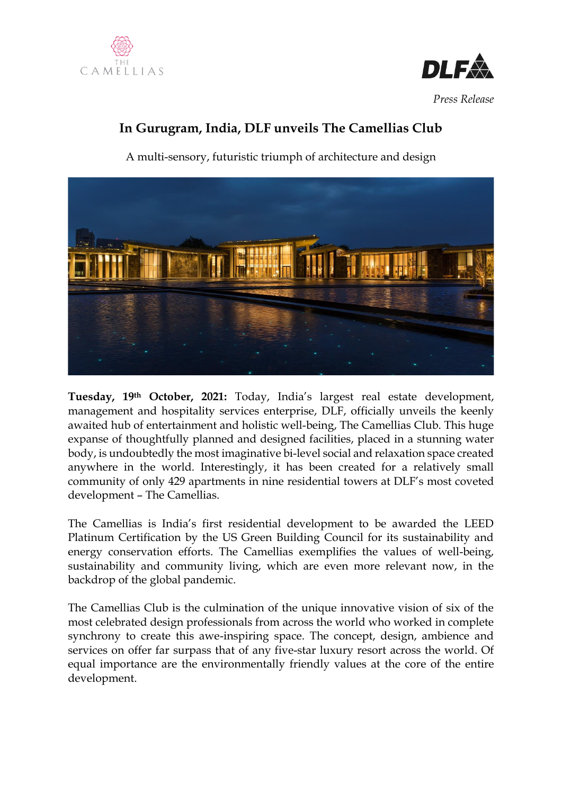



*Press Release* 

# **In Gurugram, India, DLF unveils The Camellias Club**

A multi-sensory, futuristic triumph of architecture and design



**Tuesday, 19th October, 2021:** Today, India's largest real estate development, management and hospitality services enterprise, DLF, officially unveils the keenly awaited hub of entertainment and holistic well-being, The Camellias Club. This huge expanse of thoughtfully planned and designed facilities, placed in a stunning water body, is undoubtedly the most imaginative bi-level social and relaxation space created anywhere in the world. Interestingly, it has been created for a relatively small community of only 429 apartments in nine residential towers at DLF's most coveted development – The Camellias.

The Camellias is India's first residential development to be awarded the LEED Platinum Certification by the US Green Building Council for its sustainability and energy conservation efforts. The Camellias exemplifies the values of well-being, sustainability and community living, which are even more relevant now, in the backdrop of the global pandemic.

The Camellias Club is the culmination of the unique innovative vision of six of the most celebrated design professionals from across the world who worked in complete synchrony to create this awe-inspiring space. The concept, design, ambience and services on offer far surpass that of any five-star luxury resort across the world. Of equal importance are the environmentally friendly values at the core of the entire development.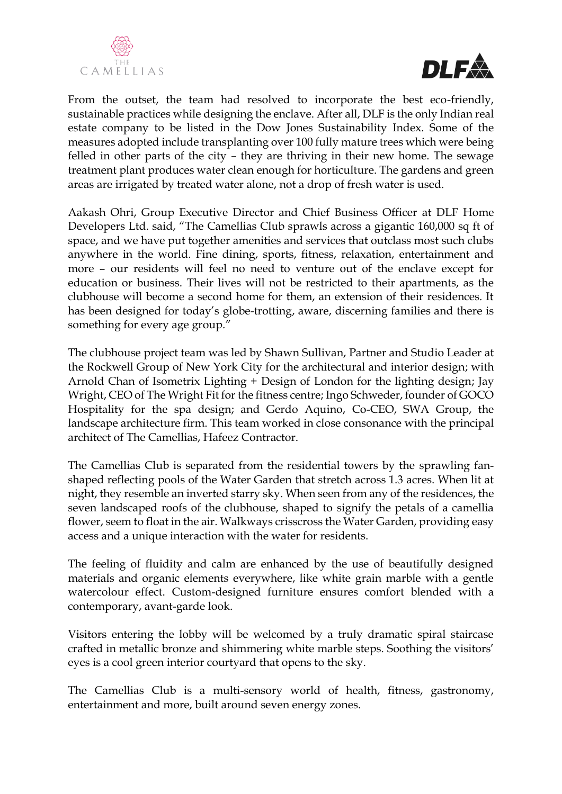



From the outset, the team had resolved to incorporate the best eco-friendly, sustainable practices while designing the enclave. After all, DLF is the only Indian real estate company to be listed in the Dow Jones Sustainability Index. Some of the measures adopted include transplanting over 100 fully mature trees which were being felled in other parts of the city – they are thriving in their new home. The sewage treatment plant produces water clean enough for horticulture. The gardens and green areas are irrigated by treated water alone, not a drop of fresh water is used.

Aakash Ohri, Group Executive Director and Chief Business Officer at DLF Home Developers Ltd. said, "The Camellias Club sprawls across a gigantic 160,000 sq ft of space, and we have put together amenities and services that outclass most such clubs anywhere in the world. Fine dining, sports, fitness, relaxation, entertainment and more – our residents will feel no need to venture out of the enclave except for education or business. Their lives will not be restricted to their apartments, as the clubhouse will become a second home for them, an extension of their residences. It has been designed for today's globe-trotting, aware, discerning families and there is something for every age group."

The clubhouse project team was led by Shawn Sullivan, Partner and Studio Leader at the Rockwell Group of New York City for the architectural and interior design; with Arnold Chan of Isometrix Lighting + Design of London for the lighting design; Jay Wright, CEO of The Wright Fit for the fitness centre; Ingo Schweder, founder of GOCO Hospitality for the spa design; and Gerdo Aquino, Co-CEO, SWA Group, the landscape architecture firm. This team worked in close consonance with the principal architect of The Camellias, Hafeez Contractor.

The Camellias Club is separated from the residential towers by the sprawling fanshaped reflecting pools of the Water Garden that stretch across 1.3 acres. When lit at night, they resemble an inverted starry sky. When seen from any of the residences, the seven landscaped roofs of the clubhouse, shaped to signify the petals of a camellia flower, seem to float in the air. Walkways crisscross the Water Garden, providing easy access and a unique interaction with the water for residents.

The feeling of fluidity and calm are enhanced by the use of beautifully designed materials and organic elements everywhere, like white grain marble with a gentle watercolour effect. Custom-designed furniture ensures comfort blended with a contemporary, avant-garde look.

Visitors entering the lobby will be welcomed by a truly dramatic spiral staircase crafted in metallic bronze and shimmering white marble steps. Soothing the visitors' eyes is a cool green interior courtyard that opens to the sky.

The Camellias Club is a multi-sensory world of health, fitness, gastronomy, entertainment and more, built around seven energy zones.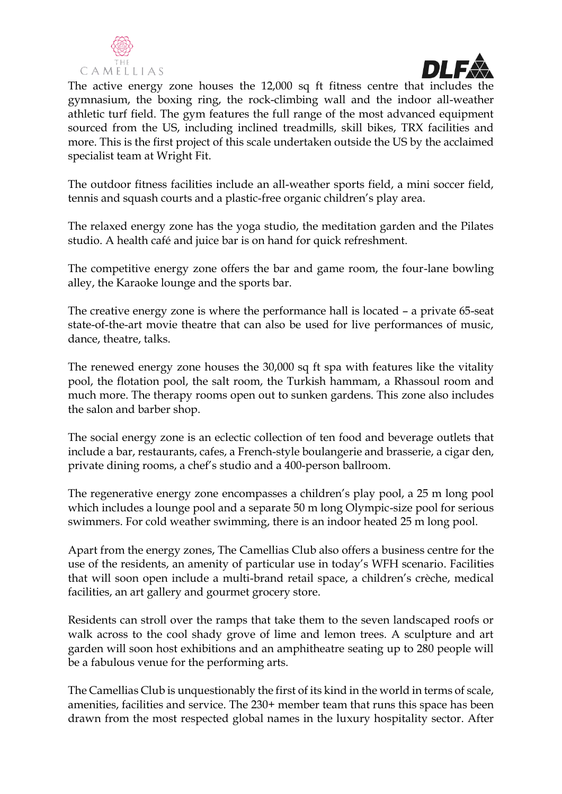



The active energy zone houses the 12,000 sq ft fitness centre that includes the gymnasium, the boxing ring, the rock-climbing wall and the indoor all-weather athletic turf field. The gym features the full range of the most advanced equipment sourced from the US, including inclined treadmills, skill bikes, TRX facilities and more. This is the first project of this scale undertaken outside the US by the acclaimed specialist team at Wright Fit.

The outdoor fitness facilities include an all-weather sports field, a mini soccer field, tennis and squash courts and a plastic-free organic children's play area.

The relaxed energy zone has the yoga studio, the meditation garden and the Pilates studio. A health café and juice bar is on hand for quick refreshment.

The competitive energy zone offers the bar and game room, the four-lane bowling alley, the Karaoke lounge and the sports bar.

The creative energy zone is where the performance hall is located – a private 65-seat state-of-the-art movie theatre that can also be used for live performances of music, dance, theatre, talks.

The renewed energy zone houses the 30,000 sq ft spa with features like the vitality pool, the flotation pool, the salt room, the Turkish hammam, a Rhassoul room and much more. The therapy rooms open out to sunken gardens. This zone also includes the salon and barber shop.

The social energy zone is an eclectic collection of ten food and beverage outlets that include a bar, restaurants, cafes, a French-style boulangerie and brasserie, a cigar den, private dining rooms, a chef's studio and a 400-person ballroom.

The regenerative energy zone encompasses a children's play pool, a 25 m long pool which includes a lounge pool and a separate 50 m long Olympic-size pool for serious swimmers. For cold weather swimming, there is an indoor heated 25 m long pool.

Apart from the energy zones, The Camellias Club also offers a business centre for the use of the residents, an amenity of particular use in today's WFH scenario. Facilities that will soon open include a multi-brand retail space, a children's crèche, medical facilities, an art gallery and gourmet grocery store.

Residents can stroll over the ramps that take them to the seven landscaped roofs or walk across to the cool shady grove of lime and lemon trees. A sculpture and art garden will soon host exhibitions and an amphitheatre seating up to 280 people will be a fabulous venue for the performing arts.

The Camellias Club is unquestionably the first of its kind in the world in terms of scale, amenities, facilities and service. The 230+ member team that runs this space has been drawn from the most respected global names in the luxury hospitality sector. After